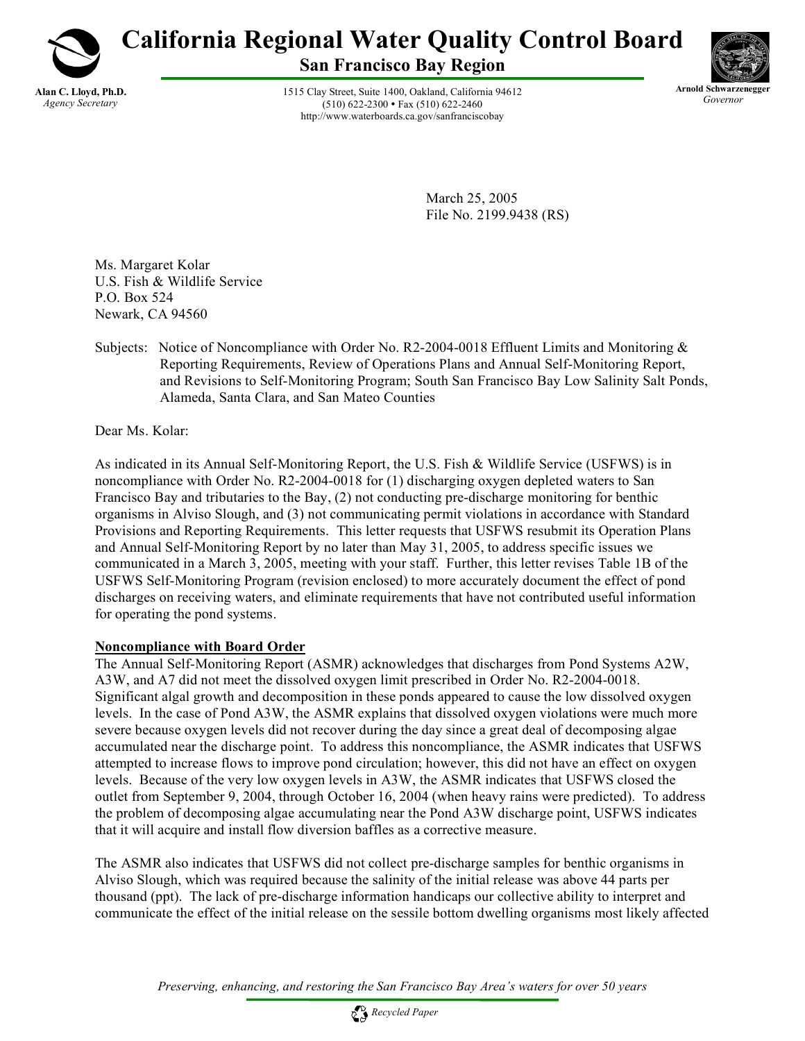

# **California Regional Water Quality Control Board**

**San Francisco Bay Region**

1515 Clay Street, Suite 1400, Oakland, California 94612  $(510) 622 - 2300$  • Fax  $(510) 622 - 2460$ http://www.waterboards.ca.gov/sanfranciscobay



March 25, 2005 File No. 2199.9438 (RS)

Ms. Margaret Kolar U.S. Fish & Wildlife Service P.O. Box 524 Newark, CA 94560

Subjects: Notice of Noncompliance with Order No. R2-2004-0018 Effluent Limits and Monitoring & Reporting Requirements, Review of Operations Plans and Annual Self-Monitoring Report, and Revisions to Self-Monitoring Program; South San Francisco Bay Low Salinity Salt Ponds, Alameda, Santa Clara, and San Mateo Counties

Dear Ms. Kolar:

As indicated in its Annual Self-Monitoring Report, the U.S. Fish & Wildlife Service (USFWS) is in noncompliance with Order No. R2-2004-0018 for (1) discharging oxygen depleted waters to San Francisco Bay and tributaries to the Bay, (2) not conducting pre-discharge monitoring for benthic organisms in Alviso Slough, and (3) not communicating permit violations in accordance with Standard Provisions and Reporting Requirements. This letter requests that USFWS resubmit its Operation Plans and Annual Self-Monitoring Report by no later than May 31, 2005, to address specific issues we communicated in a March 3, 2005, meeting with your staff. Further, this letter revises Table 1B of the USFWS Self-Monitoring Program (revision enclosed) to more accurately document the effect of pond discharges on receiving waters, and eliminate requirements that have not contributed useful information for operating the pond systems.

### **Noncompliance with Board Order**

The Annual Self-Monitoring Report (ASMR) acknowledges that discharges from Pond Systems A2W, A3W, and A7 did not meet the dissolved oxygen limit prescribed in Order No. R2-2004-0018. Significant algal growth and decomposition in these ponds appeared to cause the low dissolved oxygen levels. In the case of Pond A3W, the ASMR explains that dissolved oxygen violations were much more severe because oxygen levels did not recover during the day since a great deal of decomposing algae accumulated near the discharge point. To address this noncompliance, the ASMR indicates that USFWS attempted to increase flows to improve pond circulation; however, this did not have an effect on oxygen levels. Because of the very low oxygen levels in A3W, the ASMR indicates that USFWS closed the outlet from September 9, 2004, through October 16, 2004 (when heavy rains were predicted). To address the problem of decomposing algae accumulating near the Pond A3W discharge point, USFWS indicates that it will acquire and install flow diversion baffles as a corrective measure.

The ASMR also indicates that USFWS did not collect pre-discharge samples for benthic organisms in Alviso Slough, which was required because the salinity of the initial release was above 44 parts per thousand (ppt). The lack of pre-discharge information handicaps our collective ability to interpret and communicate the effect of the initial release on the sessile bottom dwelling organisms most likely affected

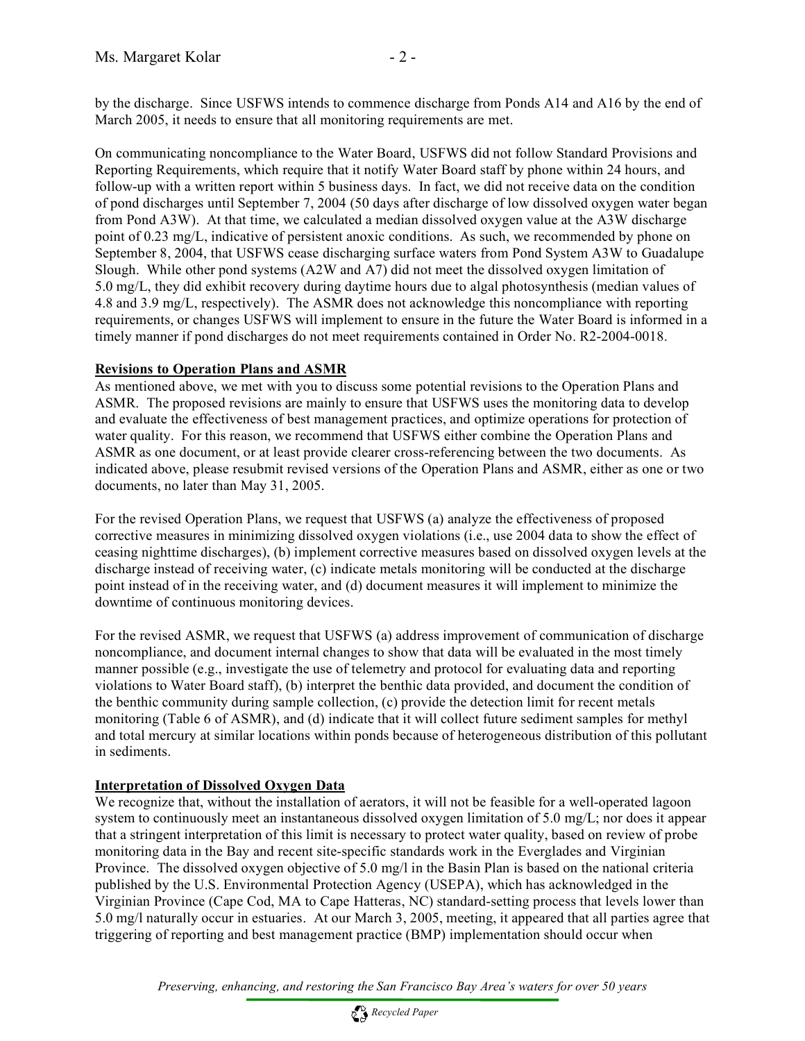by the discharge. Since USFWS intends to commence discharge from Ponds A14 and A16 by the end of March 2005, it needs to ensure that all monitoring requirements are met.

On communicating noncompliance to the Water Board, USFWS did not follow Standard Provisions and Reporting Requirements, which require that it notify Water Board staff by phone within 24 hours, and follow-up with a written report within 5 business days. In fact, we did not receive data on the condition of pond discharges until September 7, 2004 (50 days after discharge of low dissolved oxygen water began from Pond A3W). At that time, we calculated a median dissolved oxygen value at the A3W discharge point of 0.23 mg/L, indicative of persistent anoxic conditions. As such, we recommended by phone on September 8, 2004, that USFWS cease discharging surface waters from Pond System A3W to Guadalupe Slough. While other pond systems (A2W and A7) did not meet the dissolved oxygen limitation of 5.0 mg/L, they did exhibit recovery during daytime hours due to algal photosynthesis (median values of 4.8 and 3.9 mg/L, respectively). The ASMR does not acknowledge this noncompliance with reporting requirements, or changes USFWS will implement to ensure in the future the Water Board is informed in a timely manner if pond discharges do not meet requirements contained in Order No. R2-2004-0018.

## **Revisions to Operation Plans and ASMR**

As mentioned above, we met with you to discuss some potential revisions to the Operation Plans and ASMR. The proposed revisions are mainly to ensure that USFWS uses the monitoring data to develop and evaluate the effectiveness of best management practices, and optimize operations for protection of water quality. For this reason, we recommend that USFWS either combine the Operation Plans and ASMR as one document, or at least provide clearer cross-referencing between the two documents. As indicated above, please resubmit revised versions of the Operation Plans and ASMR, either as one or two documents, no later than May 31, 2005.

For the revised Operation Plans, we request that USFWS (a) analyze the effectiveness of proposed corrective measures in minimizing dissolved oxygen violations (i.e., use 2004 data to show the effect of ceasing nighttime discharges), (b) implement corrective measures based on dissolved oxygen levels at the discharge instead of receiving water, (c) indicate metals monitoring will be conducted at the discharge point instead of in the receiving water, and (d) document measures it will implement to minimize the downtime of continuous monitoring devices.

For the revised ASMR, we request that USFWS (a) address improvement of communication of discharge noncompliance, and document internal changes to show that data will be evaluated in the most timely manner possible (e.g., investigate the use of telemetry and protocol for evaluating data and reporting violations to Water Board staff), (b) interpret the benthic data provided, and document the condition of the benthic community during sample collection, (c) provide the detection limit for recent metals monitoring (Table 6 of ASMR), and (d) indicate that it will collect future sediment samples for methyl and total mercury at similar locations within ponds because of heterogeneous distribution of this pollutant in sediments.

## **Interpretation of Dissolved Oxygen Data**

We recognize that, without the installation of aerators, it will not be feasible for a well-operated lagoon system to continuously meet an instantaneous dissolved oxygen limitation of 5.0 mg/L; nor does it appear that a stringent interpretation of this limit is necessary to protect water quality, based on review of probe monitoring data in the Bay and recent site-specific standards work in the Everglades and Virginian Province. The dissolved oxygen objective of 5.0 mg/l in the Basin Plan is based on the national criteria published by the U.S. Environmental Protection Agency (USEPA), which has acknowledged in the Virginian Province (Cape Cod, MA to Cape Hatteras, NC) standard-setting process that levels lower than 5.0 mg/l naturally occur in estuaries. At our March 3, 2005, meeting, it appeared that all parties agree that triggering of reporting and best management practice (BMP) implementation should occur when

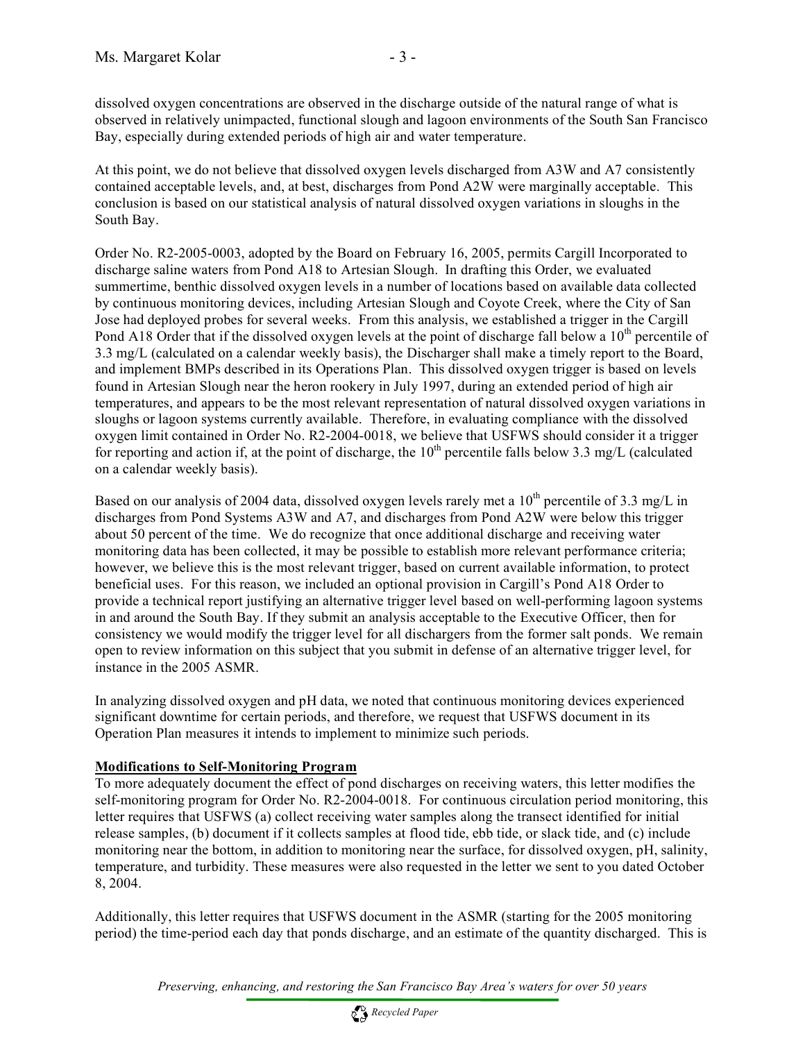dissolved oxygen concentrations are observed in the discharge outside of the natural range of what is observed in relatively unimpacted, functional slough and lagoon environments of the South San Francisco Bay, especially during extended periods of high air and water temperature.

At this point, we do not believe that dissolved oxygen levels discharged from A3W and A7 consistently contained acceptable levels, and, at best, discharges from Pond A2W were marginally acceptable. This conclusion is based on our statistical analysis of natural dissolved oxygen variations in sloughs in the South Bay.

Order No. R2-2005-0003, adopted by the Board on February 16, 2005, permits Cargill Incorporated to discharge saline waters from Pond A18 to Artesian Slough. In drafting this Order, we evaluated summertime, benthic dissolved oxygen levels in a number of locations based on available data collected by continuous monitoring devices, including Artesian Slough and Coyote Creek, where the City of San Jose had deployed probes for several weeks. From this analysis, we established a trigger in the Cargill Pond A18 Order that if the dissolved oxygen levels at the point of discharge fall below a  $10^{th}$  percentile of 3.3 mg/L (calculated on a calendar weekly basis), the Discharger shall make a timely report to the Board, and implement BMPs described in its Operations Plan. This dissolved oxygen trigger is based on levels found in Artesian Slough near the heron rookery in July 1997, during an extended period of high air temperatures, and appears to be the most relevant representation of natural dissolved oxygen variations in sloughs or lagoon systems currently available. Therefore, in evaluating compliance with the dissolved oxygen limit contained in Order No. R2-2004-0018, we believe that USFWS should consider it a trigger for reporting and action if, at the point of discharge, the  $10<sup>th</sup>$  percentile falls below 3.3 mg/L (calculated on a calendar weekly basis).

Based on our analysis of 2004 data, dissolved oxygen levels rarely met a  $10^{th}$  percentile of 3.3 mg/L in discharges from Pond Systems A3W and A7, and discharges from Pond A2W were below this trigger about 50 percent of the time. We do recognize that once additional discharge and receiving water monitoring data has been collected, it may be possible to establish more relevant performance criteria; however, we believe this is the most relevant trigger, based on current available information, to protect beneficial uses. For this reason, we included an optional provision in Cargill's Pond A18 Order to provide a technical report justifying an alternative trigger level based on well-performing lagoon systems in and around the South Bay. If they submit an analysis acceptable to the Executive Officer, then for consistency we would modify the trigger level for all dischargers from the former salt ponds. We remain open to review information on this subject that you submit in defense of an alternative trigger level, for instance in the 2005 ASMR.

In analyzing dissolved oxygen and pH data, we noted that continuous monitoring devices experienced significant downtime for certain periods, and therefore, we request that USFWS document in its Operation Plan measures it intends to implement to minimize such periods.

## **Modifications to Self-Monitoring Program**

To more adequately document the effect of pond discharges on receiving waters, this letter modifies the self-monitoring program for Order No. R2-2004-0018. For continuous circulation period monitoring, this letter requires that USFWS (a) collect receiving water samples along the transect identified for initial release samples, (b) document if it collects samples at flood tide, ebb tide, or slack tide, and (c) include monitoring near the bottom, in addition to monitoring near the surface, for dissolved oxygen, pH, salinity, temperature, and turbidity. These measures were also requested in the letter we sent to you dated October 8, 2004.

Additionally, this letter requires that USFWS document in the ASMR (starting for the 2005 monitoring period) the time-period each day that ponds discharge, and an estimate of the quantity discharged. This is

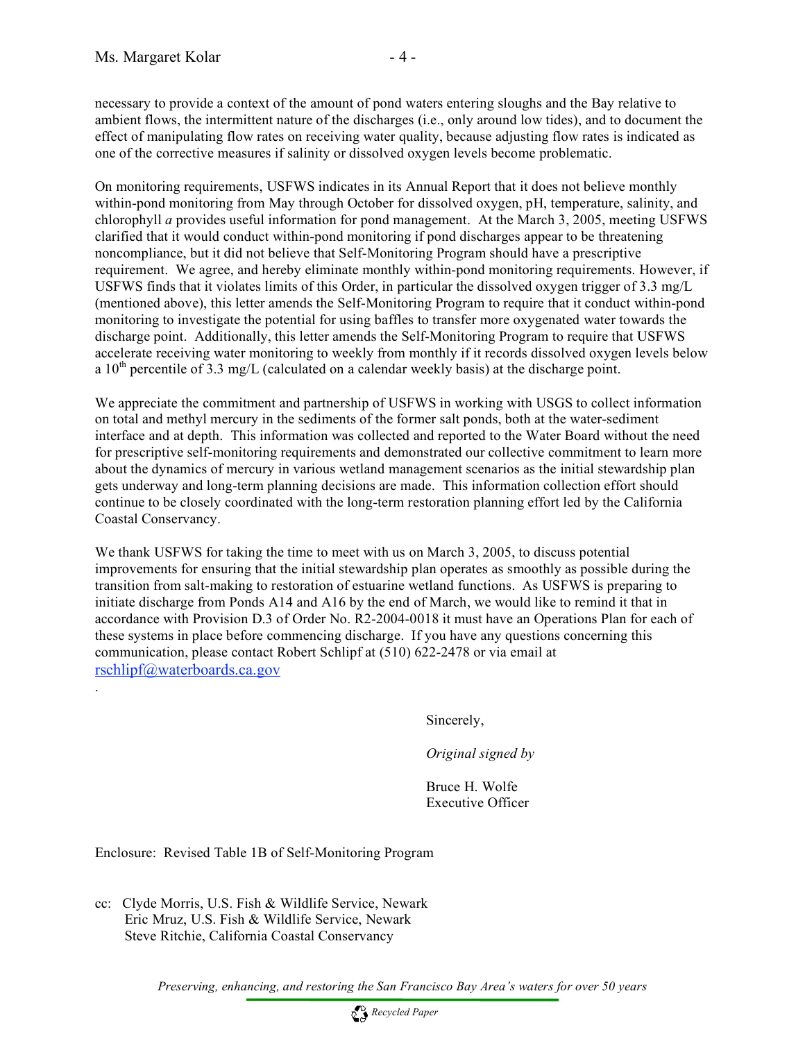.

necessary to provide a context of the amount of pond waters entering sloughs and the Bay relative to ambient flows, the intermittent nature of the discharges (i.e., only around low tides), and to document the effect of manipulating flow rates on receiving water quality, because adjusting flow rates is indicated as one of the corrective measures if salinity or dissolved oxygen levels become problematic.

On monitoring requirements, USFWS indicates in its Annual Report that it does not believe monthly within-pond monitoring from May through October for dissolved oxygen, pH, temperature, salinity, and chlorophyll *a* provides useful information for pond management. At the March 3, 2005, meeting USFWS clarified that it would conduct within-pond monitoring if pond discharges appear to be threatening noncompliance, but it did not believe that Self-Monitoring Program should have a prescriptive requirement. We agree, and hereby eliminate monthly within-pond monitoring requirements. However, if USFWS finds that it violates limits of this Order, in particular the dissolved oxygen trigger of 3.3 mg/L (mentioned above), this letter amends the Self-Monitoring Program to require that it conduct within-pond monitoring to investigate the potential for using baffles to transfer more oxygenated water towards the discharge point. Additionally, this letter amends the Self-Monitoring Program to require that USFWS accelerate receiving water monitoring to weekly from monthly if it records dissolved oxygen levels below a  $10^{th}$  percentile of 3.3 mg/L (calculated on a calendar weekly basis) at the discharge point.

We appreciate the commitment and partnership of USFWS in working with USGS to collect information on total and methyl mercury in the sediments of the former salt ponds, both at the water-sediment interface and at depth. This information was collected and reported to the Water Board without the need for prescriptive self-monitoring requirements and demonstrated our collective commitment to learn more about the dynamics of mercury in various wetland management scenarios as the initial stewardship plan gets underway and long-term planning decisions are made. This information collection effort should continue to be closely coordinated with the long-term restoration planning effort led by the California Coastal Conservancy.

We thank USFWS for taking the time to meet with us on March 3, 2005, to discuss potential improvements for ensuring that the initial stewardship plan operates as smoothly as possible during the transition from salt-making to restoration of estuarine wetland functions. As USFWS is preparing to initiate discharge from Ponds A14 and A16 by the end of March, we would like to remind it that in accordance with Provision D.3 of Order No. R2-2004-0018 it must have an Operations Plan for each of these systems in place before commencing discharge. If you have any questions concerning this communication, please contact Robert Schlipf at (510) 622-2478 or via email at rschlipf@waterboards.ca.gov

Sincerely,

*Original signed by*

Bruce H. Wolfe Executive Officer

Enclosure: Revised Table 1B of Self-Monitoring Program

cc: Clyde Morris, U.S. Fish & Wildlife Service, Newark Eric Mruz, U.S. Fish & Wildlife Service, Newark Steve Ritchie, California Coastal Conservancy

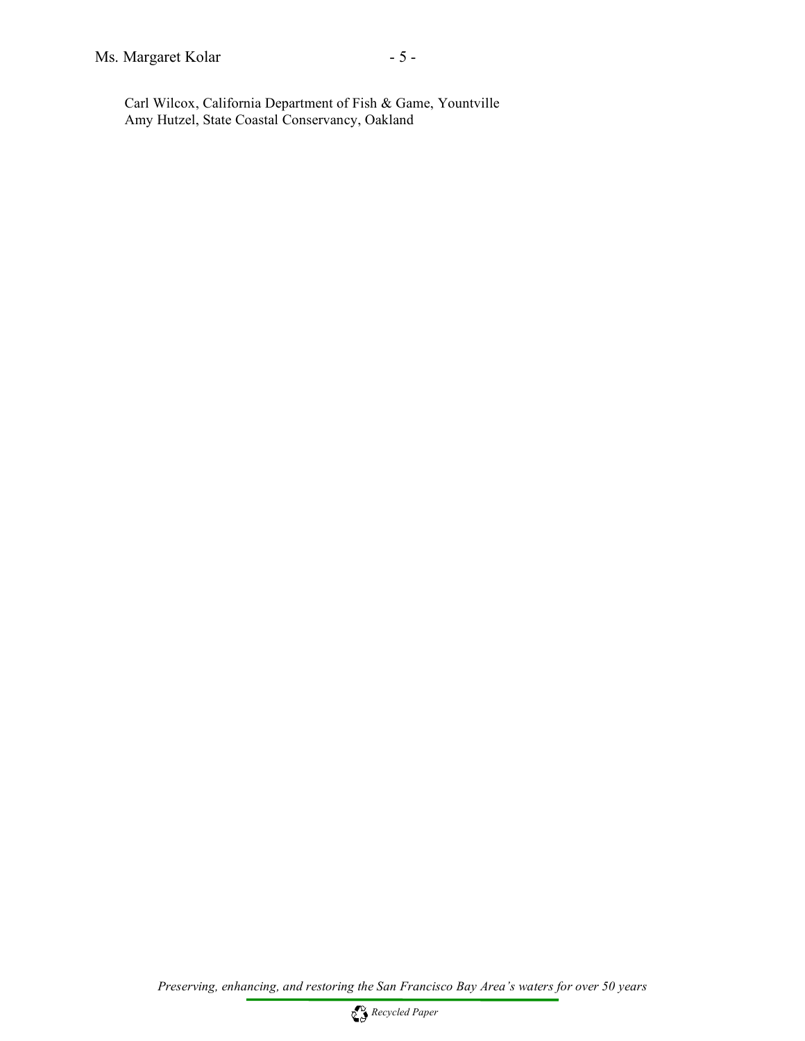Carl Wilcox, California Department of Fish & Game, Yountville Amy Hutzel, State Coastal Conservancy, Oakland

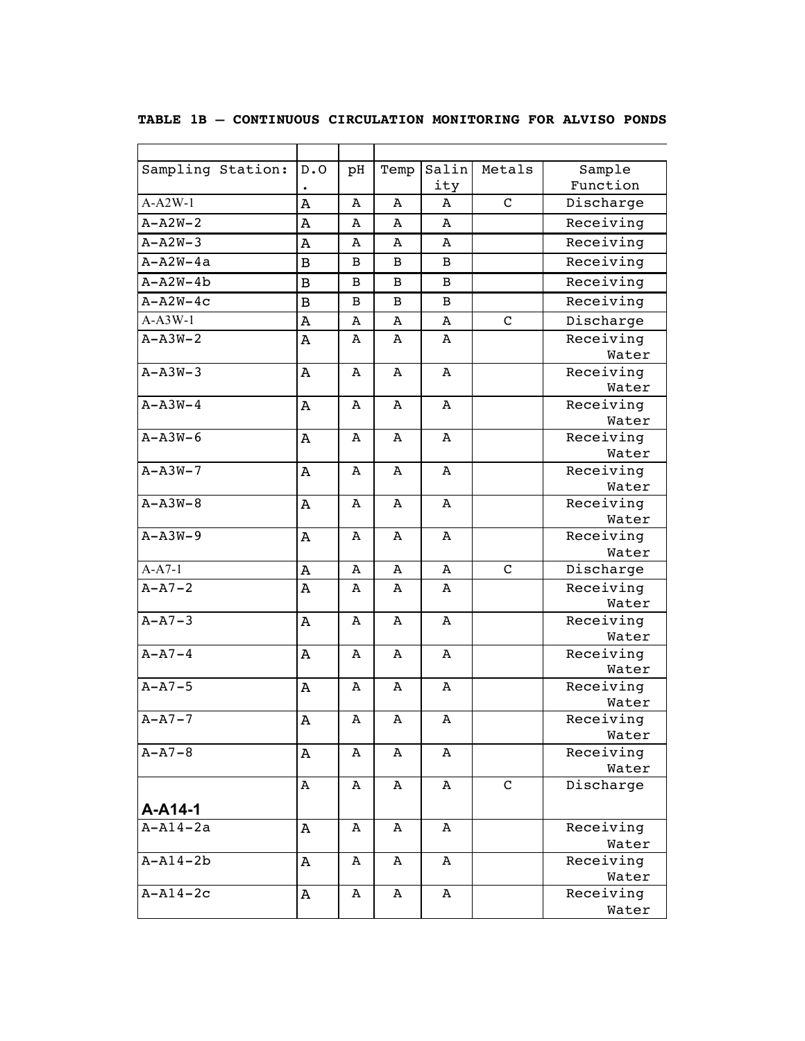| Sampling Station: | D.0            | pH | Temp           | Salin          | Metals        | Sample             |
|-------------------|----------------|----|----------------|----------------|---------------|--------------------|
|                   |                |    |                | ity            |               | Function           |
| $A-A2W-1$         | Λ              | Α  | Α              | A              | $\mathbf C$   | Discharge          |
| $A - A2W - 2$     | A              | A  | Α              | A              |               | Receiving          |
| $A - A2W - 3$     | A              | Α  | A              | A              |               | Receiving          |
| $A - A2W - 4a$    | $\, {\bf B}$   | B  | В              | B              |               | Receiving          |
| $A - A2W - 4b$    | $\overline{B}$ | B  | В              | B              |               | Receiving          |
| $A - A2W - 4C$    | $\overline{B}$ | B  | В              | B              |               | Receiving          |
| $A-A3W-1$         | A              | A  | $\overline{A}$ | $\overline{A}$ | $\mathcal{C}$ | Discharge          |
| $A - A3W - 2$     | Α              | A  | A              | A              |               | Receiving          |
|                   |                |    |                |                |               | Water              |
| $A - A3W - 3$     | Α              | A  | A              | Α              |               | Receiving          |
|                   |                |    |                |                |               | Water              |
| $A - A3W - 4$     | Α              | A  | A              | A              |               | Receiving          |
|                   |                |    |                |                |               | Water              |
| $A - A3W - 6$     | Α              | A  | A              | Α              |               | Receiving          |
|                   |                |    |                |                |               | Water              |
| $A - A3W - 7$     | Α              | A  | A              | Α              |               | Receiving          |
| $A - A3W - 8$     | Α              | A  | A              | A              |               | Water<br>Receiving |
|                   |                |    |                |                |               | Water              |
| $A - A3W - 9$     | A              | Α  | A              | A              |               | Receiving          |
|                   |                |    |                |                |               | Water              |
| $A-A7-1$          | Α              | A  | Α              | Α              | $\mathsf{C}$  | Discharge          |
| $A - A7 - 2$      | Α              | A  | A              | Α              |               | Receiving          |
|                   |                |    |                |                |               | Water              |
| $A - A7 - 3$      | Α              | A  | A              | Α              |               | Receiving          |
|                   |                |    |                |                |               | Water              |
| $A - A7 - 4$      | Α              | A  | A              | A              |               | Receiving          |
|                   |                |    |                |                |               | Water              |
| $A - A7 - 5$      | Α              | A  | Α              | A              |               | Receiving          |
|                   |                |    |                |                |               | Water              |
| $A - A7 - 7$      | Α              | Α  | Α              | Α              |               | Receiving<br>Water |
| $A - A7 - 8$      |                | A  | Α              | A              |               | Receiving          |
|                   | Α              |    |                |                |               | Water              |
|                   | A              | Α  | A              | Α              | $\mathsf{C}$  | Discharge          |
|                   |                |    |                |                |               |                    |
| A-A14-1           |                |    |                |                |               |                    |
| $A - A14 - 2a$    | Α              | А  | А              | А              |               | Receiving          |
|                   |                |    |                |                |               | Water              |
| $A - A14 - 2b$    | Α              | A  | Α              | Α              |               | Receiving<br>Water |
| $A - A14 - 2c$    | Α              | А  | A              | A              |               | Receiving          |
|                   |                |    |                |                |               | Water              |
|                   |                |    |                |                |               |                    |

#### **TABLE 1B – CONTINUOUS CIRCULATION MONITORING FOR ALVISO PONDS**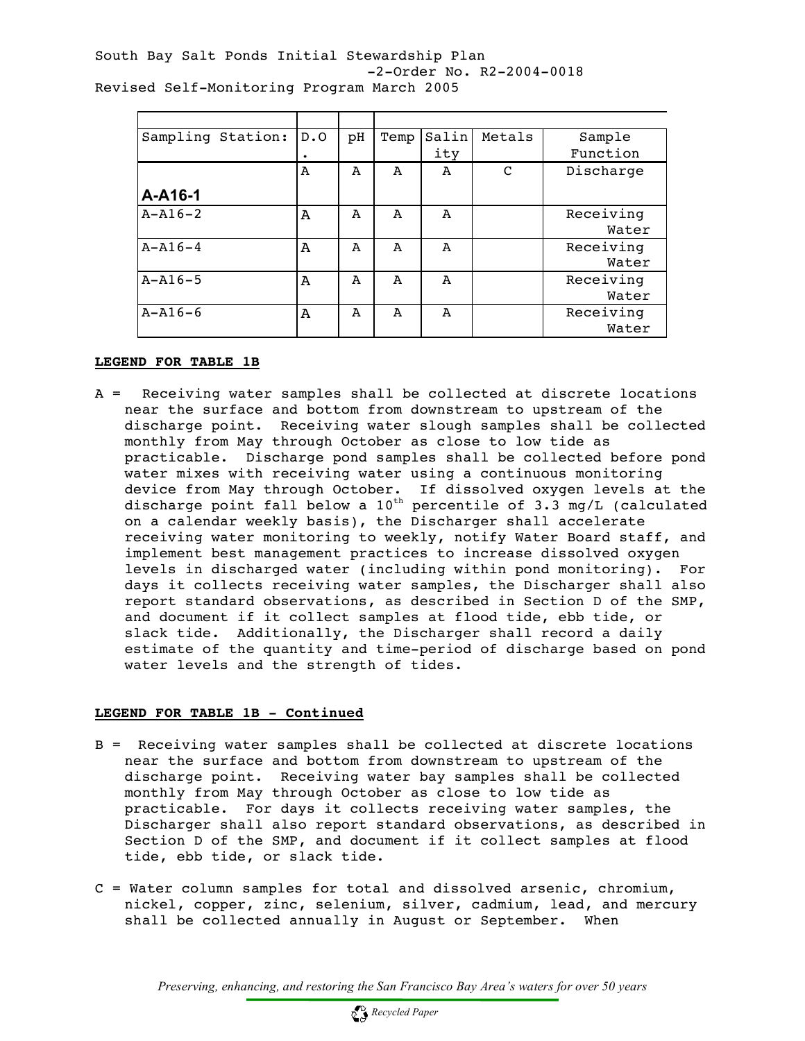South Bay Salt Ponds Initial Stewardship Plan -2-Order No. R2-2004-0018 Revised Self-Monitoring Program March 2005

| Sampling Station: | D.0          | рH | Temp         | Salin | Metals | Sample    |
|-------------------|--------------|----|--------------|-------|--------|-----------|
|                   | ٠            |    |              | ity   |        | Function  |
|                   | $\mathbf{A}$ | A  | A            | A     | C      | Discharge |
| A-A16-1           |              |    |              |       |        |           |
| $A - A16 - 2$     | A            | A  | A            | A     |        | Receiving |
|                   |              |    |              |       |        | Water     |
| $A - A16 - 4$     | A            | A  | A            | A     |        | Receiving |
|                   |              |    |              |       |        | Water     |
| $A - A16 - 5$     | A            | A  | $\mathbf{A}$ | A     |        | Receiving |
|                   |              |    |              |       |        | Water     |
| $A - A16 - 6$     | A            | A  | A            | A     |        | Receiving |
|                   |              |    |              |       |        | Water     |

#### **LEGEND FOR TABLE 1B**

A = Receiving water samples shall be collected at discrete locations near the surface and bottom from downstream to upstream of the discharge point. Receiving water slough samples shall be collected monthly from May through October as close to low tide as practicable. Discharge pond samples shall be collected before pond water mixes with receiving water using a continuous monitoring device from May through October. If dissolved oxygen levels at the discharge point fall below a  $10^{\text{th}}$  percentile of 3.3 mg/L (calculated on a calendar weekly basis), the Discharger shall accelerate receiving water monitoring to weekly, notify Water Board staff, and implement best management practices to increase dissolved oxygen levels in discharged water (including within pond monitoring). For days it collects receiving water samples, the Discharger shall also report standard observations, as described in Section D of the SMP, and document if it collect samples at flood tide, ebb tide, or slack tide. Additionally, the Discharger shall record a daily estimate of the quantity and time-period of discharge based on pond water levels and the strength of tides.

#### **LEGEND FOR TABLE 1B - Continued**

- B = Receiving water samples shall be collected at discrete locations near the surface and bottom from downstream to upstream of the discharge point. Receiving water bay samples shall be collected monthly from May through October as close to low tide as practicable. For days it collects receiving water samples, the Discharger shall also report standard observations, as described in Section D of the SMP, and document if it collect samples at flood tide, ebb tide, or slack tide.
- C = Water column samples for total and dissolved arsenic, chromium, nickel, copper, zinc, selenium, silver, cadmium, lead, and mercury shall be collected annually in August or September. When